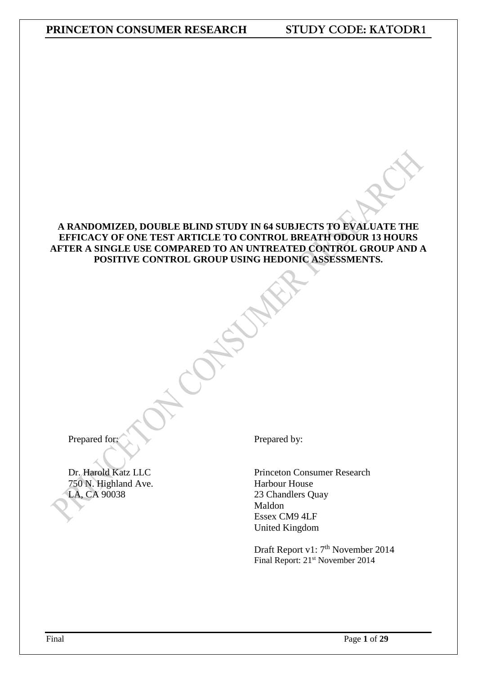# **A RANDOMIZED, DOUBLE BLIND STUDY IN 64 SUBJECTS TO EVALUATE THE EFFICACY OF ONE TEST ARTICLE TO CONTROL BREATH ODOUR 13 HOURS AFTER A SINGLE USE COMPARED TO AN UNTREATED CONTROL GROUP AND A POSITIVE CONTROL GROUP USING HEDONIC ASSESSMENTS.**

Prepared for:

Dr. Harold Katz LLC 750 N. Highland Ave. LA, CA 90038

Prepared by:

Princeton Consumer Research Harbour House 23 Chandlers Quay Maldon Essex CM9 4LF United Kingdom

Draft Report v1: 7<sup>th</sup> November 2014 Final Report: 21st November 2014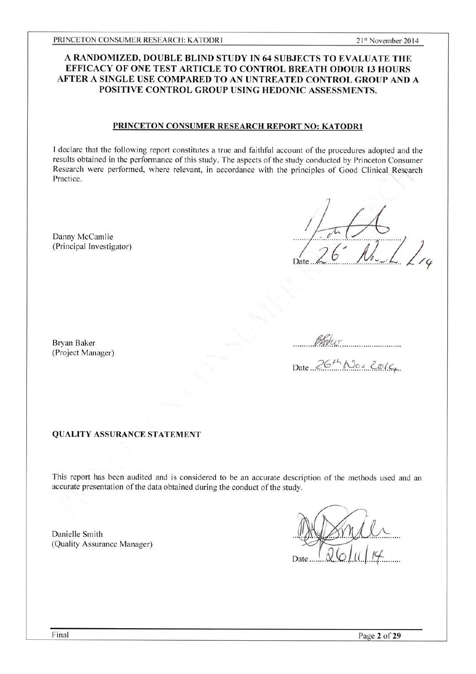# A RANDOMIZED, DOUBLE BLIND STUDY IN 64 SUBJECTS TO EVALUATE THE EFFICACY OF ONE TEST ARTICLE TO CONTROL BREATH ODOUR 13 HOURS AFTER A SINGLE USE COMPARED TO AN UNTREATED CONTROL GROUP AND A POSITIVE CONTROL GROUP USING HEDONIC ASSESSMENTS.

#### PRINCETON CONSUMER RESEARCH REPORT NO: KATODR1

I declare that the following report constitutes a true and faithful account of the procedures adopted and the results obtained in the performance of this study. The aspects of the study conducted by Princeton Consumer Research were performed, where relevant, in accordance with the principles of Good Clinical Research Practice.

Danny McCamlie (Principal Investigator)

Date

**Bryan Baker** (Project Manager)

arv

Date 26<sup>th</sup> Nov 2016

### **QUALITY ASSURANCE STATEMENT**

This report has been audited and is considered to be an accurate description of the methods used and an accurate presentation of the data obtained during the conduct of the study.

Danielle Smith (Quality Assurance Manager)

Date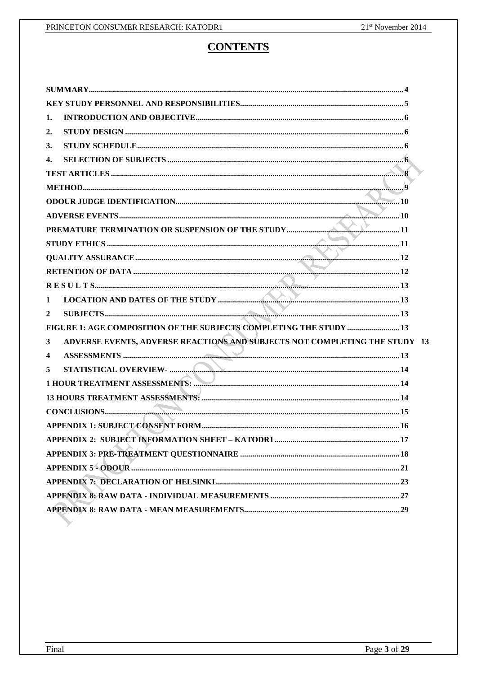# **CONTENTS**

| 1.                                                                              |  |
|---------------------------------------------------------------------------------|--|
| 2.                                                                              |  |
| 3.                                                                              |  |
| $\mathbf{4}$                                                                    |  |
|                                                                                 |  |
|                                                                                 |  |
|                                                                                 |  |
|                                                                                 |  |
|                                                                                 |  |
|                                                                                 |  |
|                                                                                 |  |
|                                                                                 |  |
|                                                                                 |  |
| 1                                                                               |  |
| $\mathbf{2}$                                                                    |  |
| FIGURE 1: AGE COMPOSITION OF THE SUBJECTS COMPLETING THE STUDY  13              |  |
| ADVERSE EVENTS, ADVERSE REACTIONS AND SUBJECTS NOT COMPLETING THE STUDY 13<br>3 |  |
| 4                                                                               |  |
| 5                                                                               |  |
|                                                                                 |  |
|                                                                                 |  |
|                                                                                 |  |
|                                                                                 |  |
|                                                                                 |  |
|                                                                                 |  |
|                                                                                 |  |
|                                                                                 |  |
|                                                                                 |  |
|                                                                                 |  |
|                                                                                 |  |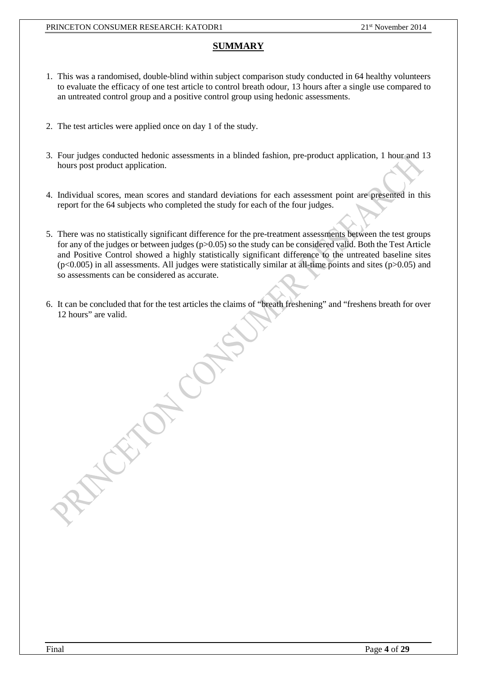# **SUMMARY**

- <span id="page-3-0"></span>1. This was a randomised, double-blind within subject comparison study conducted in 64 healthy volunteers to evaluate the efficacy of one test article to control breath odour, 13 hours after a single use compared to an untreated control group and a positive control group using hedonic assessments.
- 2. The test articles were applied once on day 1 of the study.
- 3. Four judges conducted hedonic assessments in a blinded fashion, pre-product application, 1 hour and 13 hours post product application.
- 4. Individual scores, mean scores and standard deviations for each assessment point are presented in this report for the 64 subjects who completed the study for each of the four judges.
- 5. There was no statistically significant difference for the pre-treatment assessments between the test groups for any of the judges or between judges (p>0.05) so the study can be considered valid. Both the Test Article and Positive Control showed a highly statistically significant difference to the untreated baseline sites (p<0.005) in all assessments. All judges were statistically similar at all-time points and sites (p>0.05) and so assessments can be considered as accurate.
- 6. It can be concluded that for the test articles the claims of "breath freshening" and "freshens breath for over 12 hours" are valid.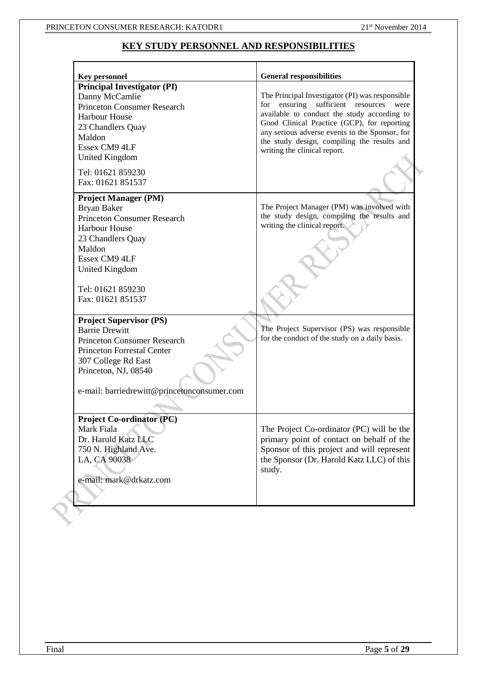# **KEY STUDY PERSONNEL AND RESPONSIBILITIES**

<span id="page-4-0"></span>

| <b>Key personnel</b>                        | <b>General responsibilities</b>                                                               |
|---------------------------------------------|-----------------------------------------------------------------------------------------------|
| <b>Principal Investigator (PI)</b>          |                                                                                               |
| Danny McCamlie                              | The Principal Investigator (PI) was responsible                                               |
| <b>Princeton Consumer Research</b>          | ensuring sufficient resources<br>for<br>were                                                  |
| Harbour House                               | available to conduct the study according to                                                   |
| 23 Chandlers Quay                           | Good Clinical Practice (GCP), for reporting<br>any serious adverse events to the Sponsor, for |
| Maldon                                      | the study design, compiling the results and                                                   |
| Essex CM9 4LF                               | writing the clinical report.                                                                  |
| <b>United Kingdom</b>                       |                                                                                               |
| Tel: 01621 859230                           |                                                                                               |
| Fax: 01621 851537                           |                                                                                               |
|                                             |                                                                                               |
| <b>Project Manager (PM)</b>                 |                                                                                               |
| Bryan Baker                                 | The Project Manager (PM) was involved with                                                    |
| <b>Princeton Consumer Research</b>          | the study design, compiling the results and                                                   |
| <b>Harbour House</b>                        | writing the clinical report.                                                                  |
| 23 Chandlers Quay                           |                                                                                               |
| Maldon                                      |                                                                                               |
| Essex CM9 4LF                               |                                                                                               |
| <b>United Kingdom</b>                       |                                                                                               |
|                                             |                                                                                               |
| Tel: 01621 859230                           |                                                                                               |
| Fax: 01621 851537                           |                                                                                               |
|                                             |                                                                                               |
| <b>Project Supervisor (PS)</b>              |                                                                                               |
| <b>Barrie Drewitt</b>                       | The Project Supervisor (PS) was responsible                                                   |
| <b>Princeton Consumer Research</b>          | for the conduct of the study on a daily basis.                                                |
| <b>Princeton Forrestal Center</b>           |                                                                                               |
| 307 College Rd East                         |                                                                                               |
| Princeton, NJ, 08540                        |                                                                                               |
|                                             |                                                                                               |
| e-mail: barriedrewitt@princetonconsumer.com |                                                                                               |
|                                             |                                                                                               |
|                                             |                                                                                               |
| <b>Project Co-ordinator (PC)</b>            |                                                                                               |
| Mark Fiala                                  | The Project Co-ordinator (PC) will be the                                                     |
| Dr. Harold Katz LLC                         | primary point of contact on behalf of the                                                     |
| 750 N. Highland Ave.                        | Sponsor of this project and will represent                                                    |
| LA, CA 90038                                | the Sponsor (Dr. Harold Katz LLC) of this                                                     |
|                                             | study.                                                                                        |
| e-mail: mark@drkatz.com                     |                                                                                               |
|                                             |                                                                                               |
|                                             |                                                                                               |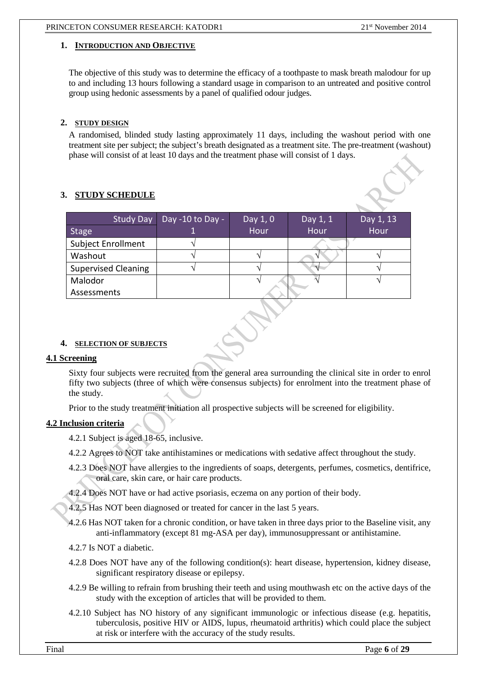# <span id="page-5-0"></span>**1. INTRODUCTION AND OBJECTIVE**

The objective of this study was to determine the efficacy of a toothpaste to mask breath malodour for up to and including 13 hours following a standard usage in comparison to an untreated and positive control group using hedonic assessments by a panel of qualified odour judges.

# <span id="page-5-1"></span>**2. STUDY DESIGN**

A randomised, blinded study lasting approximately 11 days, including the washout period with one treatment site per subject; the subject's breath designated as a treatment site. The pre-treatment (washout) phase will consist of at least 10 days and the treatment phase will consist of 1 days.

# <span id="page-5-2"></span>**3. STUDY SCHEDULE**

| <b>Study Day</b><br><b>Stage</b> | Day -10 to Day - | Day 1, 0<br>Hour | Day 1, 1<br>Hour | Day 1, 13<br>Hour |
|----------------------------------|------------------|------------------|------------------|-------------------|
| Subject Enrollment               |                  |                  |                  |                   |
| Washout                          |                  |                  |                  |                   |
| <b>Supervised Cleaning</b>       |                  |                  |                  |                   |
| Malodor                          |                  |                  |                  |                   |
| Assessments                      |                  |                  |                  |                   |

### <span id="page-5-3"></span>**4. SELECTION OF SUBJECTS**

### **4.1 Screening**

Sixty four subjects were recruited from the general area surrounding the clinical site in order to enrol fifty two subjects (three of which were consensus subjects) for enrolment into the treatment phase of the study.

Prior to the study treatment initiation all prospective subjects will be screened for eligibility.

### **4.2 Inclusion criteria**

- 4.2.1 Subject is aged 18-65, inclusive.
- 4.2.2 Agrees to NOT take antihistamines or medications with sedative affect throughout the study.
- 4.2.3 Does NOT have allergies to the ingredients of soaps, detergents, perfumes, cosmetics, dentifrice, oral care, skin care, or hair care products.
- 4.2.4 Does NOT have or had active psoriasis, eczema on any portion of their body.
- 4.2.5 Has NOT been diagnosed or treated for cancer in the last 5 years.
- 4.2.6 Has NOT taken for a chronic condition, or have taken in three days prior to the Baseline visit, any anti-inflammatory (except 81 mg-ASA per day), immunosuppressant or antihistamine.
- 4.2.7 Is NOT a diabetic.
- 4.2.8 Does NOT have any of the following condition(s): heart disease, hypertension, kidney disease, significant respiratory disease or epilepsy.
- 4.2.9 Be willing to refrain from brushing their teeth and using mouthwash etc on the active days of the study with the exception of articles that will be provided to them.
- 4.2.10 Subject has NO history of any significant immunologic or infectious disease (e.g. hepatitis, tuberculosis, positive HIV or AIDS, lupus, rheumatoid arthritis) which could place the subject at risk or interfere with the accuracy of the study results.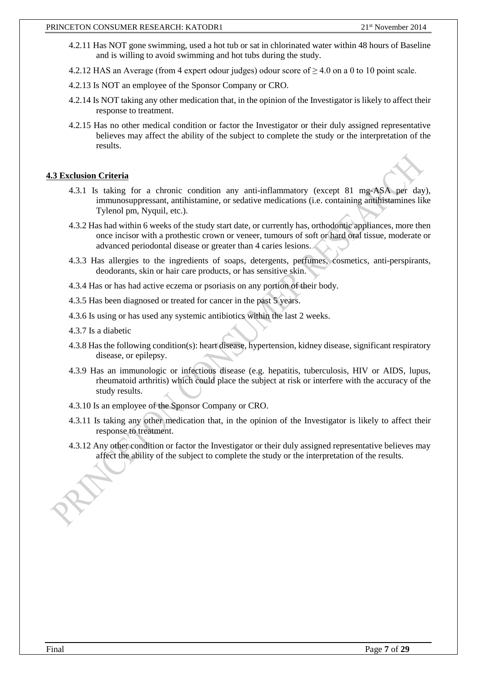#### PRINCETON CONSUMER RESEARCH: KATODR1 21st November 2014

- 4.2.11 Has NOT gone swimming, used a hot tub or sat in chlorinated water within 48 hours of Baseline and is willing to avoid swimming and hot tubs during the study.
- 4.2.12 HAS an Average (from 4 expert odour judges) odour score of  $\geq$  4.0 on a 0 to 10 point scale.
- 4.2.13 Is NOT an employee of the Sponsor Company or CRO.
- 4.2.14 Is NOT taking any other medication that, in the opinion of the Investigator is likely to affect their response to treatment.
- 4.2.15 Has no other medical condition or factor the Investigator or their duly assigned representative believes may affect the ability of the subject to complete the study or the interpretation of the results.

#### **4.3 Exclusion Criteria**

- 4.3.1 Is taking for a chronic condition any anti-inflammatory (except 81 mg-ASA per day), immunosuppressant, antihistamine, or sedative medications (i.e. containing antihistamines like Tylenol pm, Nyquil, etc.).
- 4.3.2 Has had within 6 weeks of the study start date, or currently has, orthodontic appliances, more then once incisor with a prothestic crown or veneer, tumours of soft or hard oral tissue, moderate or advanced periodontal disease or greater than 4 caries lesions.
- 4.3.3 Has allergies to the ingredients of soaps, detergents, perfumes, cosmetics, anti-perspirants, deodorants, skin or hair care products, or has sensitive skin.
- 4.3.4 Has or has had active eczema or psoriasis on any portion of their body.
- 4.3.5 Has been diagnosed or treated for cancer in the past 5 years.
- 4.3.6 Is using or has used any systemic antibiotics within the last 2 weeks.
- 4.3.7 Is a diabetic
- 4.3.8 Has the following condition(s): heart disease, hypertension, kidney disease, significant respiratory disease, or epilepsy.
- 4.3.9 Has an immunologic or infectious disease (e.g. hepatitis, tuberculosis, HIV or AIDS, lupus, rheumatoid arthritis) which could place the subject at risk or interfere with the accuracy of the study results.
- 4.3.10 Is an employee of the Sponsor Company or CRO.
- 4.3.11 Is taking any other medication that, in the opinion of the Investigator is likely to affect their response to treatment.
- 4.3.12 Any other condition or factor the Investigator or their duly assigned representative believes may affect the ability of the subject to complete the study or the interpretation of the results.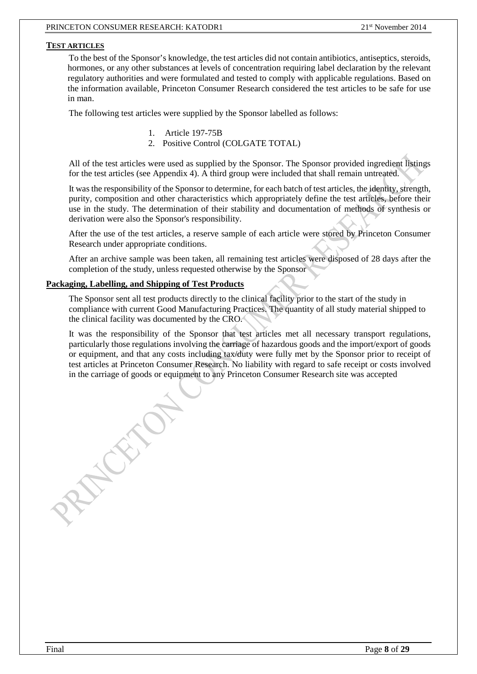#### <span id="page-7-0"></span>**TEST ARTICLES**

To the best of the Sponsor's knowledge, the test articles did not contain antibiotics, antiseptics, steroids, hormones, or any other substances at levels of concentration requiring label declaration by the relevant regulatory authorities and were formulated and tested to comply with applicable regulations. Based on the information available, Princeton Consumer Research considered the test articles to be safe for use in man.

The following test articles were supplied by the Sponsor labelled as follows:

- 1. Article 197-75B
- 2. Positive Control (COLGATE TOTAL)

All of the test articles were used as supplied by the Sponsor. The Sponsor provided ingredient listings for the test articles (see Appendix 4). A third group were included that shall remain untreated.

It was the responsibility of the Sponsor to determine, for each batch of test articles, the identity, strength, purity, composition and other characteristics which appropriately define the test articles, before their use in the study. The determination of their stability and documentation of methods of synthesis or derivation were also the Sponsor's responsibility.

After the use of the test articles, a reserve sample of each article were stored by Princeton Consumer Research under appropriate conditions.

After an archive sample was been taken, all remaining test articles were disposed of 28 days after the completion of the study, unless requested otherwise by the Sponsor

### **Packaging, Labelling, and Shipping of Test Products**

The Sponsor sent all test products directly to the clinical facility prior to the start of the study in compliance with current Good Manufacturing Practices. The quantity of all study material shipped to the clinical facility was documented by the CRO.

It was the responsibility of the Sponsor that test articles met all necessary transport regulations, particularly those regulations involving the carriage of hazardous goods and the import/export of goods or equipment, and that any costs including tax/duty were fully met by the Sponsor prior to receipt of test articles at Princeton Consumer Research. No liability with regard to safe receipt or costs involved in the carriage of goods or equipment to any Princeton Consumer Research site was accepted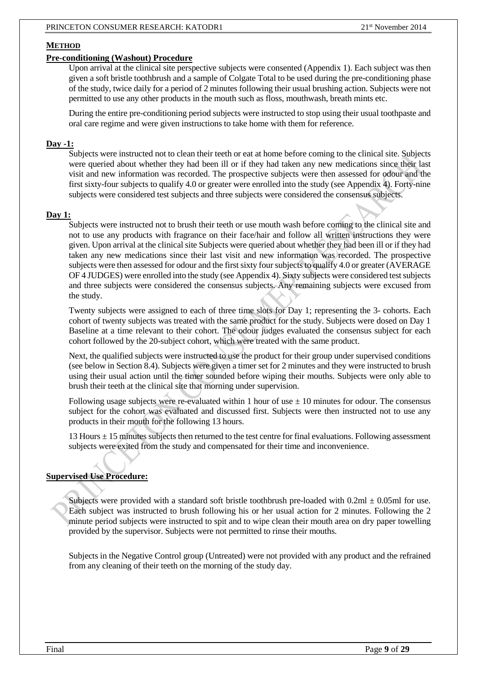### <span id="page-8-0"></span>**METHOD**

### **Pre-conditioning (Washout) Procedure**

Upon arrival at the clinical site perspective subjects were consented (Appendix 1). Each subject was then given a soft bristle toothbrush and a sample of Colgate Total to be used during the pre-conditioning phase of the study, twice daily for a period of 2 minutes following their usual brushing action. Subjects were not permitted to use any other products in the mouth such as floss, mouthwash, breath mints etc.

During the entire pre-conditioning period subjects were instructed to stop using their usual toothpaste and oral care regime and were given instructions to take home with them for reference.

# **Day -1:**

Subjects were instructed not to clean their teeth or eat at home before coming to the clinical site. Subjects were queried about whether they had been ill or if they had taken any new medications since their last visit and new information was recorded. The prospective subjects were then assessed for odour and the first sixty-four subjects to qualify 4.0 or greater were enrolled into the study (see Appendix 4). Forty-nine subjects were considered test subjects and three subjects were considered the consensus subjects.

# **Day 1:**

Subjects were instructed not to brush their teeth or use mouth wash before coming to the clinical site and not to use any products with fragrance on their face/hair and follow all written instructions they were given. Upon arrival at the clinical site Subjects were queried about whether they had been ill or if they had taken any new medications since their last visit and new information was recorded. The prospective subjects were then assessed for odour and the first sixty foursubjects to qualify 4.0 or greater (AVERAGE OF 4 JUDGES) were enrolled into the study (see Appendix 4). Sixty subjects were considered test subjects and three subjects were considered the consensus subjects. Any remaining subjects were excused from the study.

Twenty subjects were assigned to each of three time slots for Day 1; representing the 3- cohorts. Each cohort of twenty subjects was treated with the same product for the study. Subjects were dosed on Day 1 Baseline at a time relevant to their cohort. The odour judges evaluated the consensus subject for each cohort followed by the 20-subject cohort, which were treated with the same product.

Next, the qualified subjects were instructed to use the product for their group under supervised conditions (see below in Section 8.4). Subjects were given a timer set for 2 minutes and they were instructed to brush using their usual action until the timer sounded before wiping their mouths. Subjects were only able to brush their teeth at the clinical site that morning under supervision.

Following usage subjects were re-evaluated within 1 hour of use  $\pm$  10 minutes for odour. The consensus subject for the cohort was evaluated and discussed first. Subjects were then instructed not to use any products in their mouth for the following 13 hours.

13 Hours  $\pm$  15 minutes subjects then returned to the test centre for final evaluations. Following assessment subjects were exited from the study and compensated for their time and inconvenience.

# **Supervised Use Procedure:**

Subjects were provided with a standard soft bristle toothbrush pre-loaded with  $0.2 \text{ml} \pm 0.05 \text{ml}$  for use. Each subject was instructed to brush following his or her usual action for 2 minutes. Following the 2 minute period subjects were instructed to spit and to wipe clean their mouth area on dry paper towelling provided by the supervisor. Subjects were not permitted to rinse their mouths.

Subjects in the Negative Control group (Untreated) were not provided with any product and the refrained from any cleaning of their teeth on the morning of the study day.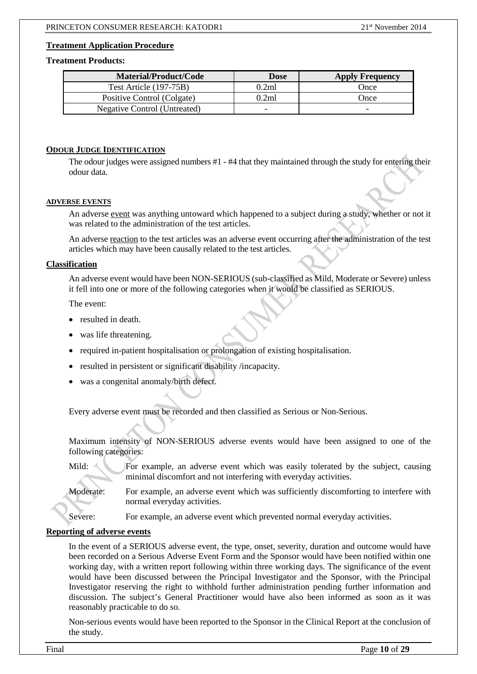# **Treatment Application Procedure**

#### **Treatment Products:**

| Material/Product/Code               | Dose                     | <b>Apply Frequency</b> |
|-------------------------------------|--------------------------|------------------------|
| Test Article (197-75B)              | 0.2ml                    | Once                   |
| Positive Control (Colgate)          | 0.2ml                    | Once                   |
| <b>Negative Control (Untreated)</b> | $\overline{\phantom{0}}$ | -                      |

# <span id="page-9-0"></span>**ODOUR JUDGE IDENTIFICATION**

The odour judges were assigned numbers #1 - #4 that they maintained through the study for entering their odour data.

### <span id="page-9-1"></span>**ADVERSE EVENTS**

An adverse event was anything untoward which happened to a subject during a study, whether or not it was related to the administration of the test articles.

An adverse reaction to the test articles was an adverse event occurring after the administration of the test articles which may have been causally related to the test articles.

#### **Classification**

An adverse event would have been NON-SERIOUS (sub-classified as Mild, Moderate or Severe) unless it fell into one or more of the following categories when it would be classified as SERIOUS.

The event:

- resulted in death.
- was life threatening.
- required in-patient hospitalisation or prolongation of existing hospitalisation.
- resulted in persistent or significant disability /incapacity.
- was a congenital anomaly/birth defect.

Every adverse event must be recorded and then classified as Serious or Non-Serious.

Maximum intensity of NON-SERIOUS adverse events would have been assigned to one of the following categories:

Mild: For example, an adverse event which was easily tolerated by the subject, causing minimal discomfort and not interfering with everyday activities.

Moderate: For example, an adverse event which was sufficiently discomforting to interfere with normal everyday activities.

Severe: For example, an adverse event which prevented normal everyday activities.

### **Reporting of adverse events**

In the event of a SERIOUS adverse event, the type, onset, severity, duration and outcome would have been recorded on a Serious Adverse Event Form and the Sponsor would have been notified within one working day, with a written report following within three working days. The significance of the event would have been discussed between the Principal Investigator and the Sponsor, with the Principal Investigator reserving the right to withhold further administration pending further information and discussion. The subject's General Practitioner would have also been informed as soon as it was reasonably practicable to do so.

Non-serious events would have been reported to the Sponsor in the Clinical Report at the conclusion of the study.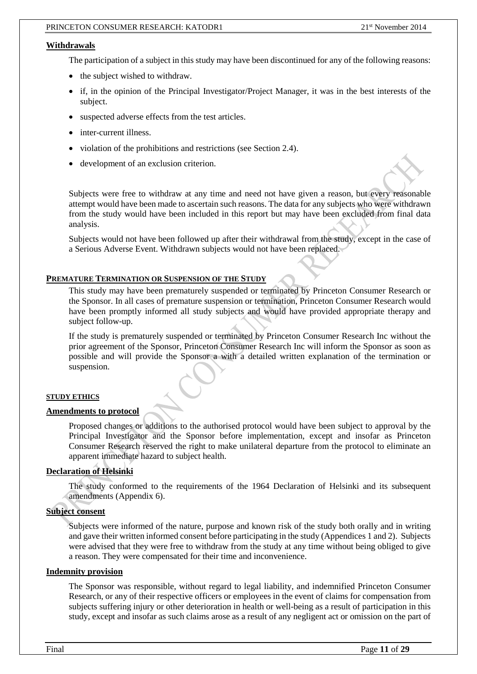#### **Withdrawals**

The participation of a subject in this study may have been discontinued for any of the following reasons:

- the subject wished to withdraw.
- if, in the opinion of the Principal Investigator/Project Manager, it was in the best interests of the subject.
- suspected adverse effects from the test articles.
- inter-current illness.
- violation of the prohibitions and restrictions (see Section 2.4).
- development of an exclusion criterion.

Subjects were free to withdraw at any time and need not have given a reason, but every reasonable attempt would have been made to ascertain such reasons. The data for any subjects who were withdrawn from the study would have been included in this report but may have been excluded from final data analysis.

Subjects would not have been followed up after their withdrawal from the study, except in the case of a Serious Adverse Event. Withdrawn subjects would not have been replaced.

### <span id="page-10-0"></span>**PREMATURE TERMINATION OR SUSPENSION OF THE STUDY**

This study may have been prematurely suspended or terminated by Princeton Consumer Research or the Sponsor. In all cases of premature suspension or termination, Princeton Consumer Research would have been promptly informed all study subjects and would have provided appropriate therapy and subject follow-up.

If the study is prematurely suspended or terminated by Princeton Consumer Research Inc without the prior agreement of the Sponsor, Princeton Consumer Research Inc will inform the Sponsor as soon as possible and will provide the Sponsor a with a detailed written explanation of the termination or suspension.

# <span id="page-10-1"></span>**STUDY ETHICS**

### **Amendments to protocol**

Proposed changes or additions to the authorised protocol would have been subject to approval by the Principal Investigator and the Sponsor before implementation, except and insofar as Princeton Consumer Research reserved the right to make unilateral departure from the protocol to eliminate an apparent immediate hazard to subject health.

### **Declaration of Helsinki**

The study conformed to the requirements of the 1964 Declaration of Helsinki and its subsequent amendments (Appendix 6).

# **Subject consent**

Subjects were informed of the nature, purpose and known risk of the study both orally and in writing and gave their written informed consent before participating in the study (Appendices 1 and 2). Subjects were advised that they were free to withdraw from the study at any time without being obliged to give a reason. They were compensated for their time and inconvenience.

#### **Indemnity provision**

The Sponsor was responsible, without regard to legal liability, and indemnified Princeton Consumer Research, or any of their respective officers or employees in the event of claims for compensation from subjects suffering injury or other deterioration in health or well-being as a result of participation in this study, except and insofar as such claims arose as a result of any negligent act or omission on the part of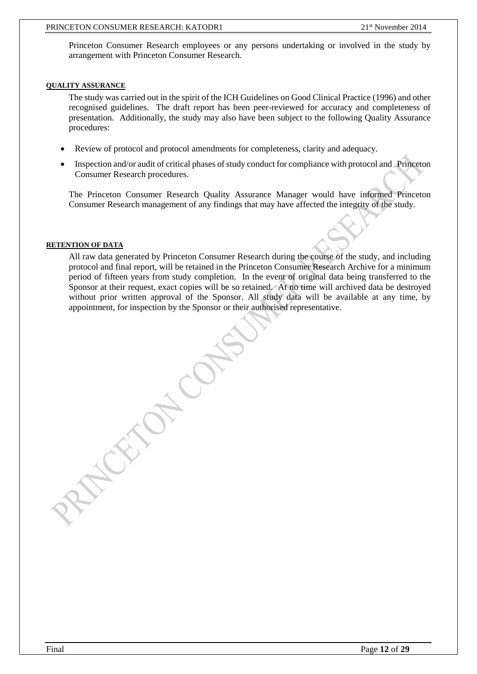#### PRINCETON CONSUMER RESEARCH: KATODR1 21st November 2014

Princeton Consumer Research employees or any persons undertaking or involved in the study by arrangement with Princeton Consumer Research.

#### <span id="page-11-0"></span>**QUALITY ASSURANCE**

The study was carried out in the spirit of the ICH Guidelines on Good Clinical Practice (1996) and other recognised guidelines. The draft report has been peer-reviewed for accuracy and completeness of presentation. Additionally, the study may also have been subject to the following Quality Assurance procedures:

- Review of protocol and protocol amendments for completeness, clarity and adequacy.
- Inspection and/or audit of critical phases of study conduct for compliance with protocol and Princeton Consumer Research procedures.

The Princeton Consumer Research Quality Assurance Manager would have informed Princeton Consumer Research management of any findings that may have affected the integrity of the study.

#### <span id="page-11-1"></span>**RETENTION OF DATA**

All raw data generated by Princeton Consumer Research during the course of the study, and including protocol and final report, will be retained in the Princeton Consumer Research Archive for a minimum period of fifteen years from study completion. In the event of original data being transferred to the Sponsor at their request, exact copies will be so retained. At no time will archived data be destroyed without prior written approval of the Sponsor. All study data will be available at any time, by appointment, for inspection by the Sponsor or their authorised representative.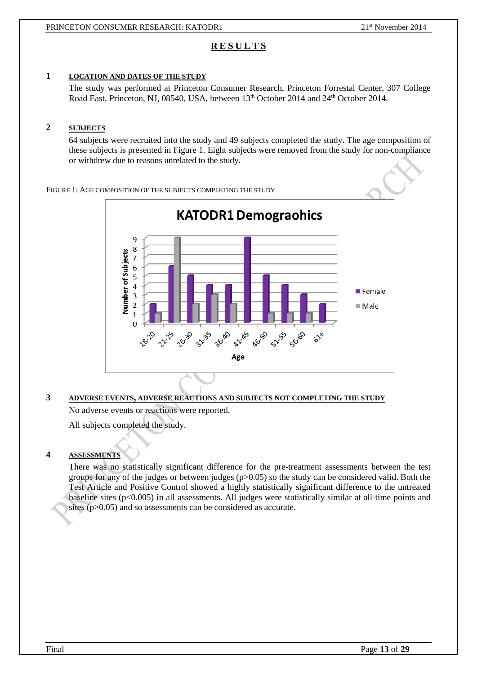# **R E S U L T S**

# <span id="page-12-1"></span><span id="page-12-0"></span>**1 LOCATION AND DATES OF THE STUDY**

The study was performed at Princeton Consumer Research, Princeton Forrestal Center, 307 College Road East, Princeton, NJ, 08540, USA, between 13<sup>th</sup> October 2014 and 24<sup>th</sup> October 2014.

# <span id="page-12-2"></span>**2 SUBJECTS**

64 subjects were recruited into the study and 49 subjects completed the study. The age composition of these subjects is presented in Figure 1. Eight subjects were removed from the study for non-compliance or withdrew due to reasons unrelated to the study.

<span id="page-12-3"></span>FIGURE 1: AGE COMPOSITION OF THE SUBJECTS COMPLETING THE STUDY



# <span id="page-12-4"></span>**3 ADVERSE EVENTS, ADVERSE REACTIONS AND SUBJECTS NOT COMPLETING THE STUDY** No adverse events or reactions were reported.

All subjects completed the study.

# <span id="page-12-5"></span>**4 ASSESSMENTS**

There was no statistically significant difference for the pre-treatment assessments between the test groups for any of the judges or between judges (p>0.05) so the study can be considered valid. Both the Test Article and Positive Control showed a highly statistically significant difference to the untreated baseline sites (p<0.005) in all assessments. All judges were statistically similar at all-time points and sites (p>0.05) and so assessments can be considered as accurate.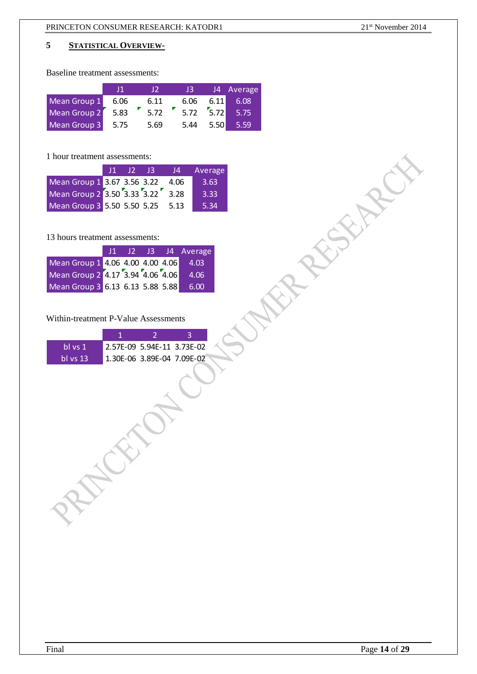### <span id="page-13-0"></span>**5 STATISTICAL OVERVIEW-**

Baseline treatment assessments:

|              | 11   | J2.  | $J3^-$ |      | J4 Average |
|--------------|------|------|--------|------|------------|
| Mean Group 1 | 6.06 | 6.11 | 6.06   | 6.11 | 6.08       |
| Mean Group 2 | 5.83 | 5.72 | 5.72   | 5.72 | 5.75       |
| Mean Group 3 | 5.75 | 5.69 | 5.44   | 5.50 | 5.59'      |

<span id="page-13-1"></span>1 hour treatment assessments:

|                                  | <b>AIF</b> | $\blacksquare$ | <b>VB</b> | J4 | Average |
|----------------------------------|------------|----------------|-----------|----|---------|
| Mean Group 1 3.67 3.56 3.22 4.06 |            |                |           |    | 3.63    |
| Mean Group 2 3.50 3.33 3.22 3.28 |            |                |           |    | 3.33    |
| Mean Group 3 5.50 5.50 5.25 5.13 |            |                |           |    | 5.34    |

# <span id="page-13-2"></span>13 hours treatment assessments:

|                                       |  |  | J1 J2 J3 J4 Average |
|---------------------------------------|--|--|---------------------|
| Mean Group 1 4.06 4.00 4.00 4.06 4.03 |  |  |                     |
| Mean Group 2 4.17 3.94 4.06 4.06      |  |  | 4.06                |
| Mean Group 3 6.13 6.13 5.88 5.88 6.00 |  |  |                     |

### Within-treatment P-Value Assessments

| bl vs 1     | 2.57E-09 5.94E-11 3.73E-02 |                            |
|-------------|----------------------------|----------------------------|
| bl vs $131$ |                            | 1.30E-06 3.89E-04 7.09E-02 |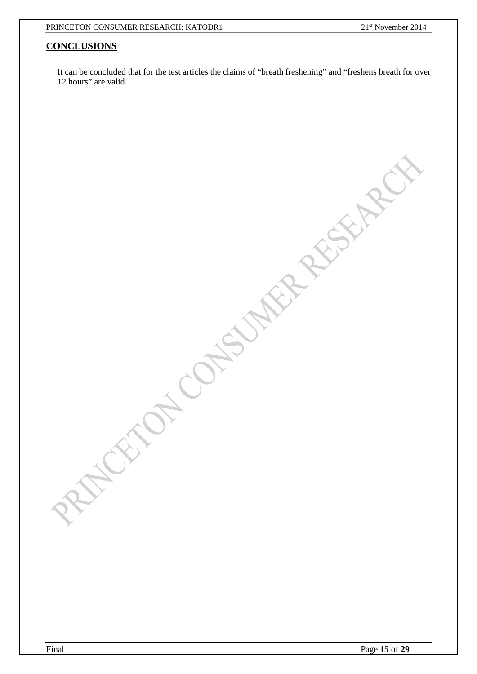# <span id="page-14-0"></span>**CONCLUSIONS**

It can be concluded that for the test articles the claims of "breath freshening" and "freshens breath for over 12 hours" are valid.

FITON CONSUMERED AFFRECH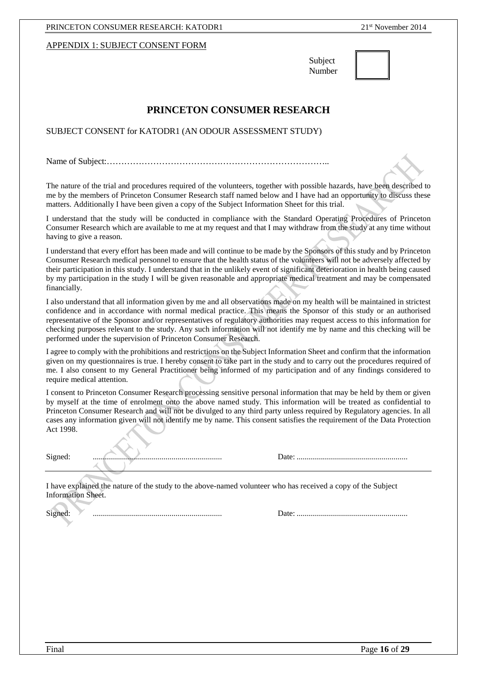### PRINCETON CONSUMER RESEARCH: KATODR1 21st November 2014

# <span id="page-15-0"></span>APPENDIX 1: SUBJECT CONSENT FORM

Subject Number

# **PRINCETON CONSUMER RESEARCH**

SUBJECT CONSENT for KATODR1 (AN ODOUR ASSESSMENT STUDY)

Name of Subject:…………………………………………………………………..

The nature of the trial and procedures required of the volunteers, together with possible hazards, have been described to me by the members of Princeton Consumer Research staff named below and I have had an opportunity to discuss these matters. Additionally I have been given a copy of the Subject Information Sheet for this trial.

I understand that the study will be conducted in compliance with the Standard Operating Procedures of Princeton Consumer Research which are available to me at my request and that I may withdraw from the study at any time without having to give a reason.

I understand that every effort has been made and will continue to be made by the Sponsors of this study and by Princeton Consumer Research medical personnel to ensure that the health status of the volunteers will not be adversely affected by their participation in this study. I understand that in the unlikely event of significant deterioration in health being caused by my participation in the study I will be given reasonable and appropriate medical treatment and may be compensated financially.

I also understand that all information given by me and all observations made on my health will be maintained in strictest confidence and in accordance with normal medical practice. This means the Sponsor of this study or an authorised representative of the Sponsor and/or representatives of regulatory authorities may request access to this information for checking purposes relevant to the study. Any such information will not identify me by name and this checking will be performed under the supervision of Princeton Consumer Research.

I agree to comply with the prohibitions and restrictions on the Subject Information Sheet and confirm that the information given on my questionnaires is true. I hereby consent to take part in the study and to carry out the procedures required of me. I also consent to my General Practitioner being informed of my participation and of any findings considered to require medical attention.

I consent to Princeton Consumer Research processing sensitive personal information that may be held by them or given by myself at the time of enrolment onto the above named study. This information will be treated as confidential to Princeton Consumer Research and will not be divulged to any third party unless required by Regulatory agencies. In all cases any information given will not identify me by name. This consent satisfies the requirement of the Data Protection Act 1998.

Signed: ................................................................ Date: .......................................................

I have explained the nature of the study to the above-named volunteer who has received a copy of the Subject Information Sheet.

Signed: ................................................................ Date: .......................................................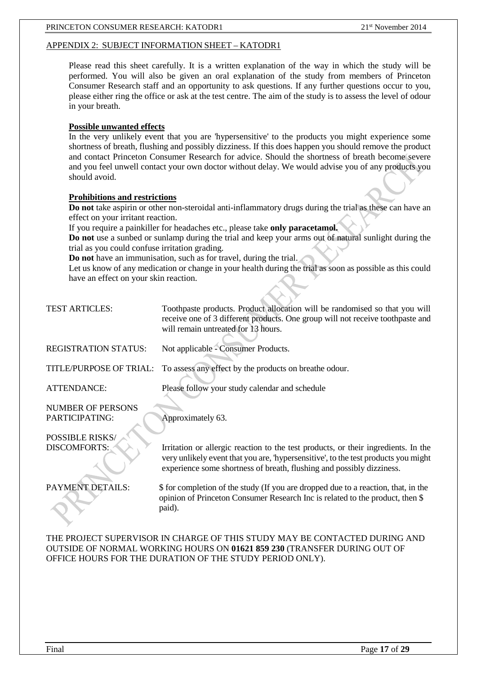# <span id="page-16-0"></span>APPENDIX 2: SUBJECT INFORMATION SHEET – KATODR1

Please read this sheet carefully. It is a written explanation of the way in which the study will be performed. You will also be given an oral explanation of the study from members of Princeton Consumer Research staff and an opportunity to ask questions. If any further questions occur to you, please either ring the office or ask at the test centre. The aim of the study is to assess the level of odour in your breath.

# **Possible unwanted effects**

In the very unlikely event that you are 'hypersensitive' to the products you might experience some shortness of breath, flushing and possibly dizziness. If this does happen you should remove the product and contact Princeton Consumer Research for advice. Should the shortness of breath become severe and you feel unwell contact your own doctor without delay. We would advise you of any products you should avoid.

# **Prohibitions and restrictions**

**Do not** take aspirin or other non-steroidal anti-inflammatory drugs during the trial as these can have an effect on your irritant reaction.

If you require a painkiller for headaches etc., please take **only paracetamol.**

**Do not** use a sunbed or sunlamp during the trial and keep your arms out of natural sunlight during the trial as you could confuse irritation grading.

**Do not** have an immunisation, such as for travel, during the trial.

Let us know of any medication or change in your health during the trial as soon as possible as this could have an effect on your skin reaction.

| <b>TEST ARTICLES:</b>                  | Toothpaste products. Product allocation will be randomised so that you will<br>receive one of 3 different products. One group will not receive toothpaste and<br>will remain untreated for 13 hours.                                              |
|----------------------------------------|---------------------------------------------------------------------------------------------------------------------------------------------------------------------------------------------------------------------------------------------------|
| <b>REGISTRATION STATUS:</b>            | Not applicable - Consumer Products.                                                                                                                                                                                                               |
| TITLE/PURPOSE OF TRIAL:                | To assess any effect by the products on breathe odour.                                                                                                                                                                                            |
| <b>ATTENDANCE:</b>                     | Please follow your study calendar and schedule                                                                                                                                                                                                    |
| NUMBER OF PERSONS<br>PARTICIPATING:    | Approximately 63.                                                                                                                                                                                                                                 |
| POSSIBLE RISKS/<br><b>DISCOMFORTS:</b> | Irritation or allergic reaction to the test products, or their ingredients. In the<br>very unlikely event that you are, 'hypersensitive', to the test products you might<br>experience some shortness of breath, flushing and possibly dizziness. |
| PAYMENT DETAILS:                       | \$ for completion of the study (If you are dropped due to a reaction, that, in the<br>opinion of Princeton Consumer Research Inc is related to the product, then \$<br>paid).                                                                     |

THE PROJECT SUPERVISOR IN CHARGE OF THIS STUDY MAY BE CONTACTED DURING AND OUTSIDE OF NORMAL WORKING HOURS ON **01621 859 230** (TRANSFER DURING OUT OF OFFICE HOURS FOR THE DURATION OF THE STUDY PERIOD ONLY).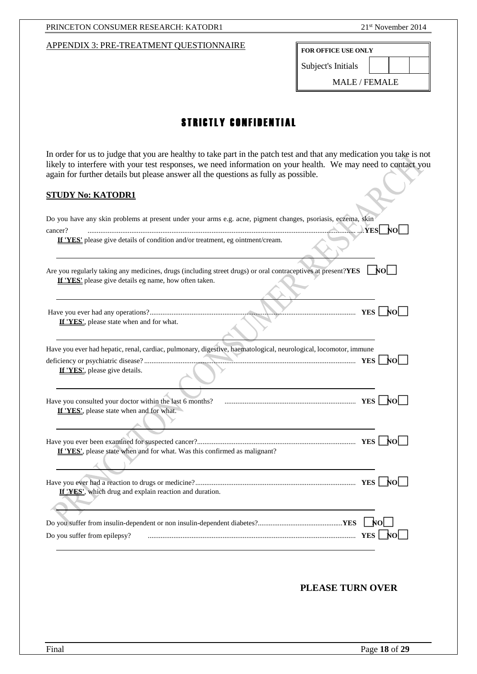#### PRINCETON CONSUMER RESEARCH: KATODR1 21st November 2014

# <span id="page-17-0"></span>APPENDIX 3: PRE-TREATMENT QUESTIONNAIRE

| <b>FOR OFFICE USE ONLY</b> |  |  |  |
|----------------------------|--|--|--|
| Subject's Initials         |  |  |  |
| <b>MALE/FEMALE</b>         |  |  |  |

# **STRICTLY CONFIDENTIAL**

In order for us to judge that you are healthy to take part in the patch test and that any medication you take is not likely to interfere with your test responses, we need information on your health. We may need to contact you again for further details but please answer all the questions as fully as possible.

# **STUDY No: KATODR1**

| Do you have any skin problems at present under your arms e.g. acne, pigment changes, psoriasis, egzema, skin                                                           |       |
|------------------------------------------------------------------------------------------------------------------------------------------------------------------------|-------|
| cancer?<br>If 'YES' please give details of condition and/or treatment, eg ointment/cream.                                                                              |       |
| Are you regularly taking any medicines, drugs (including street drugs) or oral contraceptives at present?YES<br>If 'YES' please give details eg name, how often taken. | NO    |
| If 'YES', please state when and for what.                                                                                                                              |       |
| Have you ever had hepatic, renal, cardiac, pulmonary, digestive, haematological, neurological, locomotor, immune                                                       |       |
| If 'YES', please give details.                                                                                                                                         |       |
| Have you consulted your doctor within the last 6 months?<br>If 'YES', please state when and for what.                                                                  |       |
| If 'YES', please state when and for what. Was this confirmed as malignant?                                                                                             |       |
| If 'YES', which drug and explain reaction and duration.                                                                                                                | - NOI |
| Do you suffer from epilepsy?                                                                                                                                           |       |

# **PLEASE TURN OVER**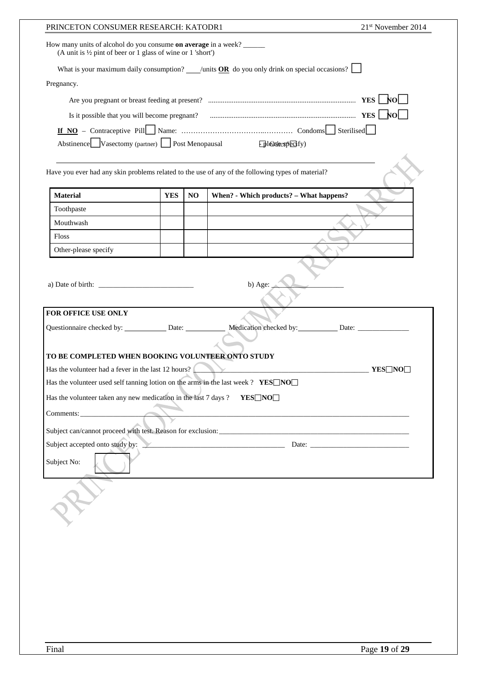| 21 <sup>st</sup> November 2014<br>PRINCETON CONSUMER RESEARCH: KATODR1                                                                                                                                                        |                  |  |                                                                                                                       |
|-------------------------------------------------------------------------------------------------------------------------------------------------------------------------------------------------------------------------------|------------------|--|-----------------------------------------------------------------------------------------------------------------------|
| How many units of alcohol do you consume on average in a week?<br>(A unit is 1/2 pint of beer or 1 glass of wine or 1 'short')                                                                                                |                  |  |                                                                                                                       |
|                                                                                                                                                                                                                               |                  |  | What is your maximum daily consumption? ____/units $OR$ do you only drink on special occasions? $\Box$                |
| Pregnancy.                                                                                                                                                                                                                    |                  |  |                                                                                                                       |
|                                                                                                                                                                                                                               |                  |  |                                                                                                                       |
|                                                                                                                                                                                                                               |                  |  |                                                                                                                       |
|                                                                                                                                                                                                                               |                  |  |                                                                                                                       |
|                                                                                                                                                                                                                               |                  |  | Abstinence Vasectomy (partner) Post Menopausal Dleaster post                                                          |
|                                                                                                                                                                                                                               |                  |  |                                                                                                                       |
|                                                                                                                                                                                                                               |                  |  | Have you ever had any skin problems related to the use of any of the following types of material?                     |
| <b>Material</b>                                                                                                                                                                                                               | <b>YES</b><br>NO |  | When? - Which products? - What happens?                                                                               |
| Toothpaste                                                                                                                                                                                                                    |                  |  |                                                                                                                       |
| Mouthwash                                                                                                                                                                                                                     |                  |  |                                                                                                                       |
| Floss                                                                                                                                                                                                                         |                  |  |                                                                                                                       |
| Other-please specify                                                                                                                                                                                                          |                  |  |                                                                                                                       |
| FOR OFFICE USE ONLY<br>TO BE COMPLETED WHEN BOOKING VOLUNTEER ONTO STUDY<br>Has the volunteer had a fever in the last 12 hours?<br>Has the volunteer used self tanning lotion on the arms in the last week ? $YES\Box NO\Box$ |                  |  | <b>THE STATE OF STREET INCLUSION ASSESSED AT A 1990 FOR STREET INCLUSION AND THE STREET INCLUSION AND INCLUSION A</b> |
| Has the volunteer taken any new medication in the last 7 days ?                                                                                                                                                               |                  |  | <b>YES</b> □NO□                                                                                                       |
| Comments:                                                                                                                                                                                                                     |                  |  |                                                                                                                       |
|                                                                                                                                                                                                                               |                  |  |                                                                                                                       |
| Subject accepted onto study by:                                                                                                                                                                                               |                  |  | <u> 1990 - Johann Barbara, martin amerikan basar dan berasal dalam basar dalam basar dalam basar dalam basar dala</u> |
| Subject No:                                                                                                                                                                                                                   |                  |  |                                                                                                                       |
|                                                                                                                                                                                                                               |                  |  |                                                                                                                       |
|                                                                                                                                                                                                                               |                  |  |                                                                                                                       |
|                                                                                                                                                                                                                               |                  |  |                                                                                                                       |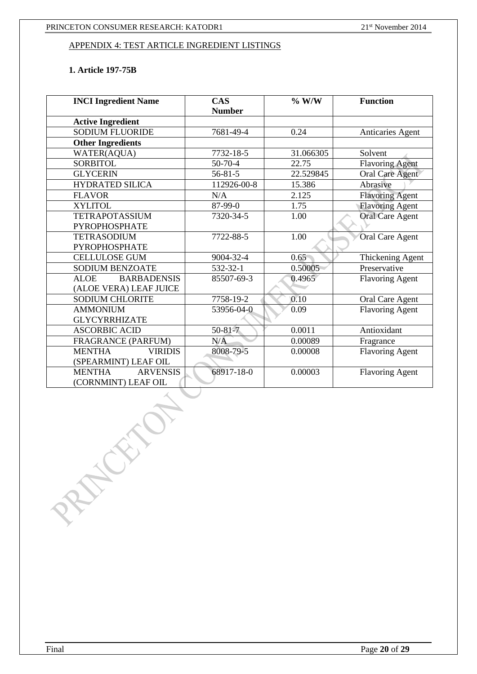# APPENDIX 4: TEST ARTICLE INGREDIENT LISTINGS

# **1. Article 197-75B**

| <b>CAS</b>    | $\%$ W/W                                                                                                                                                                  | <b>Function</b>                                                                                       |
|---------------|---------------------------------------------------------------------------------------------------------------------------------------------------------------------------|-------------------------------------------------------------------------------------------------------|
|               |                                                                                                                                                                           |                                                                                                       |
|               |                                                                                                                                                                           |                                                                                                       |
|               |                                                                                                                                                                           | Anticaries Agent                                                                                      |
|               |                                                                                                                                                                           |                                                                                                       |
|               |                                                                                                                                                                           | Solvent                                                                                               |
|               |                                                                                                                                                                           | <b>Flavoring Agent</b>                                                                                |
|               |                                                                                                                                                                           | Oral Care Agent                                                                                       |
|               |                                                                                                                                                                           | Abrasive                                                                                              |
|               |                                                                                                                                                                           | <b>Flavoring Agent</b>                                                                                |
|               |                                                                                                                                                                           | <b>Flavoring Agent</b>                                                                                |
|               |                                                                                                                                                                           | <b>Oral Care Agent</b>                                                                                |
|               |                                                                                                                                                                           |                                                                                                       |
|               |                                                                                                                                                                           | Oral Care Agent                                                                                       |
|               |                                                                                                                                                                           |                                                                                                       |
|               |                                                                                                                                                                           | Thickening Agent                                                                                      |
|               |                                                                                                                                                                           | Preservative                                                                                          |
| 85507-69-3    | 0.4965                                                                                                                                                                    | <b>Flavoring Agent</b>                                                                                |
|               |                                                                                                                                                                           |                                                                                                       |
| 7758-19-2     | 0.10                                                                                                                                                                      | Oral Care Agent                                                                                       |
| 53956-04-0    | 0.09                                                                                                                                                                      | <b>Flavoring Agent</b>                                                                                |
|               |                                                                                                                                                                           |                                                                                                       |
| $50 - 81 - 7$ | 0.0011                                                                                                                                                                    | Antioxidant                                                                                           |
| N/A           | 0.00089                                                                                                                                                                   | Fragrance                                                                                             |
| 8008-79-5     | 0.00008                                                                                                                                                                   | <b>Flavoring Agent</b>                                                                                |
|               |                                                                                                                                                                           |                                                                                                       |
| 68917-18-0    | 0.00003                                                                                                                                                                   | <b>Flavoring Agent</b>                                                                                |
|               |                                                                                                                                                                           |                                                                                                       |
|               |                                                                                                                                                                           |                                                                                                       |
|               | <b>Number</b><br>7681-49-4<br>7732-18-5<br>50-70-4<br>$56 - 81 - 5$<br>112926-00-8<br>N/A<br>$87 - 99 - 0$<br>7320-34-5<br>$7722 - 88 - 5$<br>$9004 - 32 - 4$<br>532-32-1 | 0.24<br>31.066305<br>22.75<br>22.529845<br>15.386<br>2.125<br>1.75<br>1.00<br>1.00<br>0.65<br>0.50005 |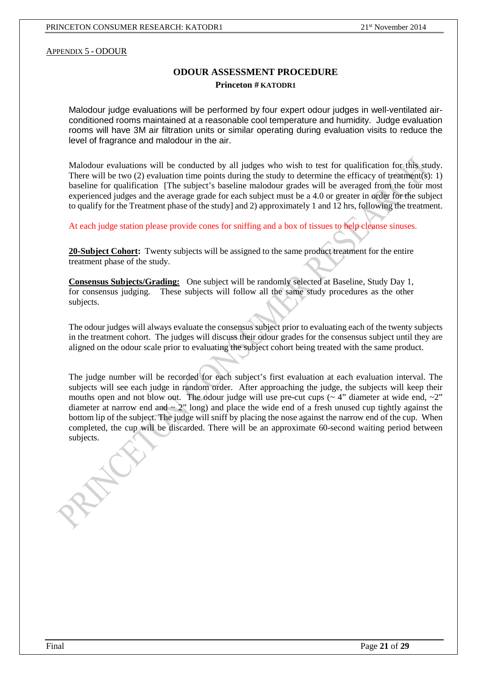<span id="page-20-0"></span>APPENDIX 5 - ODOUR

# **ODOUR ASSESSMENT PROCEDURE Princeton # KATODR1**

Malodour judge evaluations will be performed by four expert odour judges in well-ventilated airconditioned rooms maintained at a reasonable cool temperature and humidity. Judge evaluation rooms will have 3M air filtration units or similar operating during evaluation visits to reduce the level of fragrance and malodour in the air.

Malodour evaluations will be conducted by all judges who wish to test for qualification for this study. There will be two (2) evaluation time points during the study to determine the efficacy of treatment(s): 1) baseline for qualification [The subject's baseline malodour grades will be averaged from the four most experienced judges and the average grade for each subject must be a 4.0 or greater in order for the subject to qualify for the Treatment phase of the study] and 2) approximately 1 and 12 hrs, following the treatment.

At each judge station please provide cones for sniffing and a box of tissues to help cleanse sinuses.

**20-Subject Cohort:** Twenty subjects will be assigned to the same product treatment for the entire treatment phase of the study.

**Consensus Subjects/Grading:** One subject will be randomly selected at Baseline, Study Day 1, for consensus judging. These subjects will follow all the same study procedures as the other subjects.

The odour judges will always evaluate the consensus subject prior to evaluating each of the twenty subjects in the treatment cohort. The judges will discuss their odour grades for the consensus subject until they are aligned on the odour scale prior to evaluating the subject cohort being treated with the same product.

The judge number will be recorded for each subject's first evaluation at each evaluation interval. The subjects will see each judge in random order. After approaching the judge, the subjects will keep their mouths open and not blow out. The odour judge will use pre-cut cups ( $\sim$  4" diameter at wide end,  $\sim$ 2" diameter at narrow end and  $\sim$  2" long) and place the wide end of a fresh unused cup tightly against the bottom lip of the subject. The judge will sniff by placing the nose against the narrow end of the cup. When completed, the cup will be discarded. There will be an approximate 60-second waiting period between subjects.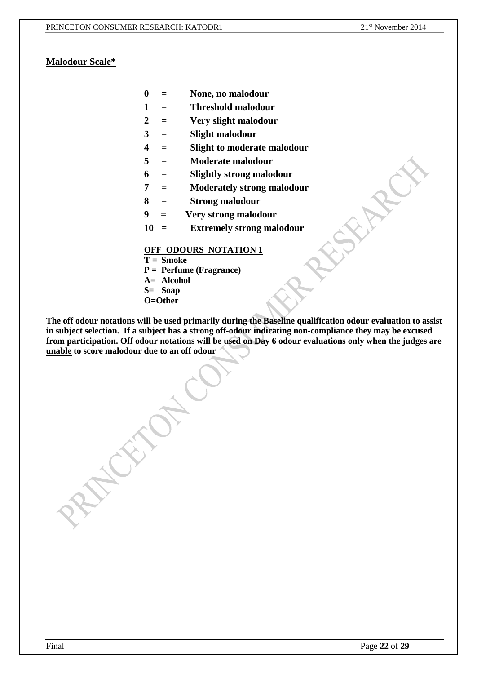# **Malodour Scale\***

- **0 = None, no malodour**
- **1 = Threshold malodour**
- **2 = Very slight malodour**
- **3 = Slight malodour**
- **4 = Slight to moderate malodour**
- **5 = Moderate malodour**
- **6 = Slightly strong malodour**
- **7 = Moderately strong malodour**
- **8 = Strong malodour**
- **9 = Very strong malodour**
- **10 = Extremely strong malodour**

# **OFF ODOURS NOTATION 1**

- **T = Smoke**
- **P = Perfume (Fragrance)**
- **A= Alcohol**
- **S= Soap**
- **O=Other**

**The off odour notations will be used primarily during the Baseline qualification odour evaluation to assist in subject selection. If a subject has a strong off-odour indicating non-compliance they may be excused from participation. Off odour notations will be used on Day 6 odour evaluations only when the judges are unable to score malodour due to an off odour**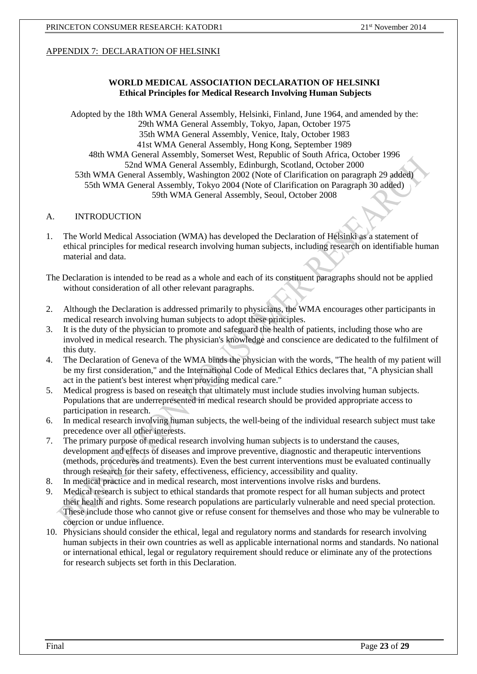# <span id="page-22-0"></span>APPENDIX 7: DECLARATION OF HELSINKI

# **WORLD MEDICAL ASSOCIATION DECLARATION OF HELSINKI Ethical Principles for Medical Research Involving Human Subjects**

Adopted by the 18th WMA General Assembly, Helsinki, Finland, June 1964, and amended by the: 29th WMA General Assembly, Tokyo, Japan, October 1975 35th WMA General Assembly, Venice, Italy, October 1983 41st WMA General Assembly, Hong Kong, September 1989 48th WMA General Assembly, Somerset West, Republic of South Africa, October 1996 52nd WMA General Assembly, Edinburgh, Scotland, October 2000 53th WMA General Assembly, Washington 2002 (Note of Clarification on paragraph 29 added) 55th WMA General Assembly, Tokyo 2004 (Note of Clarification on Paragraph 30 added) 59th WMA General Assembly, Seoul, October 2008

### A. INTRODUCTION

- 1. The World Medical Association (WMA) has developed the Declaration of Helsinki as a statement of ethical principles for medical research involving human subjects, including research on identifiable human material and data.
- The Declaration is intended to be read as a whole and each of its constituent paragraphs should not be applied without consideration of all other relevant paragraphs.
- 2. Although the Declaration is addressed primarily to physicians, the WMA encourages other participants in medical research involving human subjects to adopt these principles.
- 3. It is the duty of the physician to promote and safeguard the health of patients, including those who are involved in medical research. The physician's knowledge and conscience are dedicated to the fulfilment of this duty.
- 4. The Declaration of Geneva of the WMA binds the physician with the words, "The health of my patient will be my first consideration," and the International Code of Medical Ethics declares that, "A physician shall act in the patient's best interest when providing medical care."
- 5. Medical progress is based on research that ultimately must include studies involving human subjects. Populations that are underrepresented in medical research should be provided appropriate access to participation in research.
- 6. In medical research involving human subjects, the well-being of the individual research subject must take precedence over all other interests.
- 7. The primary purpose of medical research involving human subjects is to understand the causes, development and effects of diseases and improve preventive, diagnostic and therapeutic interventions (methods, procedures and treatments). Even the best current interventions must be evaluated continually through research for their safety, effectiveness, efficiency, accessibility and quality.
- 8. In medical practice and in medical research, most interventions involve risks and burdens.
- 9. Medical research is subject to ethical standards that promote respect for all human subjects and protect their health and rights. Some research populations are particularly vulnerable and need special protection. These include those who cannot give or refuse consent for themselves and those who may be vulnerable to coercion or undue influence.
- 10. Physicians should consider the ethical, legal and regulatory norms and standards for research involving human subjects in their own countries as well as applicable international norms and standards. No national or international ethical, legal or regulatory requirement should reduce or eliminate any of the protections for research subjects set forth in this Declaration.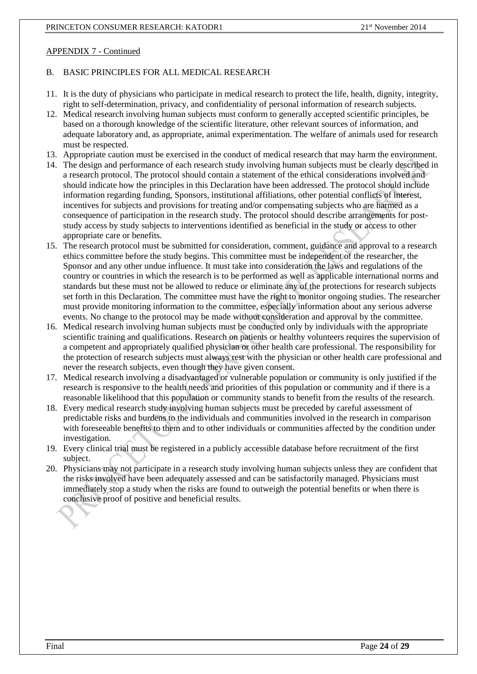### APPENDIX 7 - Continued

# B. BASIC PRINCIPLES FOR ALL MEDICAL RESEARCH

- 11. It is the duty of physicians who participate in medical research to protect the life, health, dignity, integrity, right to self-determination, privacy, and confidentiality of personal information of research subjects.
- 12. Medical research involving human subjects must conform to generally accepted scientific principles, be based on a thorough knowledge of the scientific literature, other relevant sources of information, and adequate laboratory and, as appropriate, animal experimentation. The welfare of animals used for research must be respected.
- 13. Appropriate caution must be exercised in the conduct of medical research that may harm the environment.
- 14. The design and performance of each research study involving human subjects must be clearly described in a research protocol. The protocol should contain a statement of the ethical considerations involved and should indicate how the principles in this Declaration have been addressed. The protocol should include information regarding funding, Sponsors, institutional affiliations, other potential conflicts of interest, incentives for subjects and provisions for treating and/or compensating subjects who are harmed as a consequence of participation in the research study. The protocol should describe arrangements for poststudy access by study subjects to interventions identified as beneficial in the study or access to other appropriate care or benefits.
- 15. The research protocol must be submitted for consideration, comment, guidance and approval to a research ethics committee before the study begins. This committee must be independent of the researcher, the Sponsor and any other undue influence. It must take into consideration the laws and regulations of the country or countries in which the research is to be performed as well as applicable international norms and standards but these must not be allowed to reduce or eliminate any of the protections for research subjects set forth in this Declaration. The committee must have the right to monitor ongoing studies. The researcher must provide monitoring information to the committee, especially information about any serious adverse events. No change to the protocol may be made without consideration and approval by the committee.
- 16. Medical research involving human subjects must be conducted only by individuals with the appropriate scientific training and qualifications. Research on patients or healthy volunteers requires the supervision of a competent and appropriately qualified physician or other health care professional. The responsibility for the protection of research subjects must always rest with the physician or other health care professional and never the research subjects, even though they have given consent.
- 17. Medical research involving a disadvantaged or vulnerable population or community is only justified if the research is responsive to the health needs and priorities of this population or community and if there is a reasonable likelihood that this population or community stands to benefit from the results of the research.
- 18. Every medical research study involving human subjects must be preceded by careful assessment of predictable risks and burdens to the individuals and communities involved in the research in comparison with foreseeable benefits to them and to other individuals or communities affected by the condition under investigation.
- 19. Every clinical trial must be registered in a publicly accessible database before recruitment of the first subject.
- 20. Physicians may not participate in a research study involving human subjects unless they are confident that the risks involved have been adequately assessed and can be satisfactorily managed. Physicians must immediately stop a study when the risks are found to outweigh the potential benefits or when there is conclusive proof of positive and beneficial results.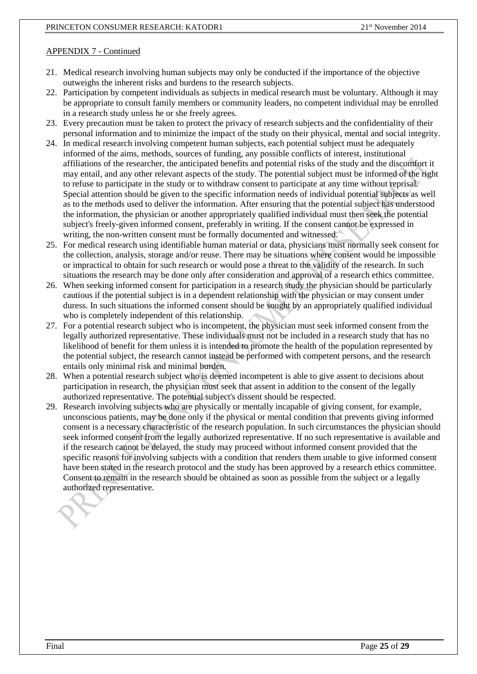# APPENDIX 7 - Continued

- 21. Medical research involving human subjects may only be conducted if the importance of the objective outweighs the inherent risks and burdens to the research subjects.
- 22. Participation by competent individuals as subjects in medical research must be voluntary. Although it may be appropriate to consult family members or community leaders, no competent individual may be enrolled in a research study unless he or she freely agrees.
- 23. Every precaution must be taken to protect the privacy of research subjects and the confidentiality of their personal information and to minimize the impact of the study on their physical, mental and social integrity.
- 24. In medical research involving competent human subjects, each potential subject must be adequately informed of the aims, methods, sources of funding, any possible conflicts of interest, institutional affiliations of the researcher, the anticipated benefits and potential risks of the study and the discomfort it may entail, and any other relevant aspects of the study. The potential subject must be informed of the right to refuse to participate in the study or to withdraw consent to participate at any time without reprisal. Special attention should be given to the specific information needs of individual potential subjects as well as to the methods used to deliver the information. After ensuring that the potential subject has understood the information, the physician or another appropriately qualified individual must then seek the potential subject's freely-given informed consent, preferably in writing. If the consent cannot be expressed in writing, the non-written consent must be formally documented and witnessed.
- 25. For medical research using identifiable human material or data, physicians must normally seek consent for the collection, analysis, storage and/or reuse. There may be situations where consent would be impossible or impractical to obtain for such research or would pose a threat to the validity of the research. In such situations the research may be done only after consideration and approval of a research ethics committee.
- 26. When seeking informed consent for participation in a research study the physician should be particularly cautious if the potential subject is in a dependent relationship with the physician or may consent under duress. In such situations the informed consent should be sought by an appropriately qualified individual who is completely independent of this relationship.
- 27. For a potential research subject who is incompetent, the physician must seek informed consent from the legally authorized representative. These individuals must not be included in a research study that has no likelihood of benefit for them unless it is intended to promote the health of the population represented by the potential subject, the research cannot instead be performed with competent persons, and the research entails only minimal risk and minimal burden.
- 28. When a potential research subject who is deemed incompetent is able to give assent to decisions about participation in research, the physician must seek that assent in addition to the consent of the legally authorized representative. The potential subject's dissent should be respected.
- 29. Research involving subjects who are physically or mentally incapable of giving consent, for example, unconscious patients, may be done only if the physical or mental condition that prevents giving informed consent is a necessary characteristic of the research population. In such circumstances the physician should seek informed consent from the legally authorized representative. If no such representative is available and if the research cannot be delayed, the study may proceed without informed consent provided that the specific reasons for involving subjects with a condition that renders them unable to give informed consent have been stated in the research protocol and the study has been approved by a research ethics committee. Consent to remain in the research should be obtained as soon as possible from the subject or a legally authorized representative.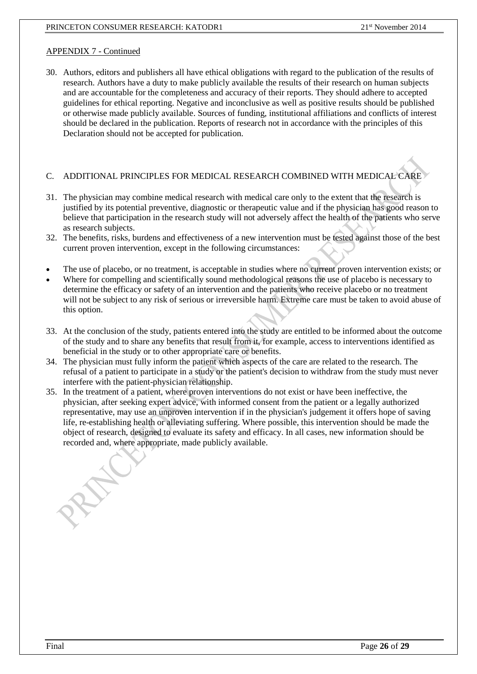### APPENDIX 7 - Continued

30. Authors, editors and publishers all have ethical obligations with regard to the publication of the results of research. Authors have a duty to make publicly available the results of their research on human subjects and are accountable for the completeness and accuracy of their reports. They should adhere to accepted guidelines for ethical reporting. Negative and inconclusive as well as positive results should be published or otherwise made publicly available. Sources of funding, institutional affiliations and conflicts of interest should be declared in the publication. Reports of research not in accordance with the principles of this Declaration should not be accepted for publication.

# C. ADDITIONAL PRINCIPLES FOR MEDICAL RESEARCH COMBINED WITH MEDICAL CARE

- 31. The physician may combine medical research with medical care only to the extent that the research is justified by its potential preventive, diagnostic or therapeutic value and if the physician has good reason to believe that participation in the research study will not adversely affect the health of the patients who serve as research subjects.
- 32. The benefits, risks, burdens and effectiveness of a new intervention must be tested against those of the best current proven intervention, except in the following circumstances:
- The use of placebo, or no treatment, is acceptable in studies where no current proven intervention exists; or
- Where for compelling and scientifically sound methodological reasons the use of placebo is necessary to determine the efficacy or safety of an intervention and the patients who receive placebo or no treatment will not be subject to any risk of serious or irreversible harm. Extreme care must be taken to avoid abuse of this option.
- 33. At the conclusion of the study, patients entered into the study are entitled to be informed about the outcome of the study and to share any benefits that result from it, for example, access to interventions identified as beneficial in the study or to other appropriate care or benefits.
- 34. The physician must fully inform the patient which aspects of the care are related to the research. The refusal of a patient to participate in a study or the patient's decision to withdraw from the study must never interfere with the patient-physician relationship.
- 35. In the treatment of a patient, where proven interventions do not exist or have been ineffective, the physician, after seeking expert advice, with informed consent from the patient or a legally authorized representative, may use an unproven intervention if in the physician's judgement it offers hope of saving life, re-establishing health or alleviating suffering. Where possible, this intervention should be made the object of research, designed to evaluate its safety and efficacy. In all cases, new information should be recorded and, where appropriate, made publicly available.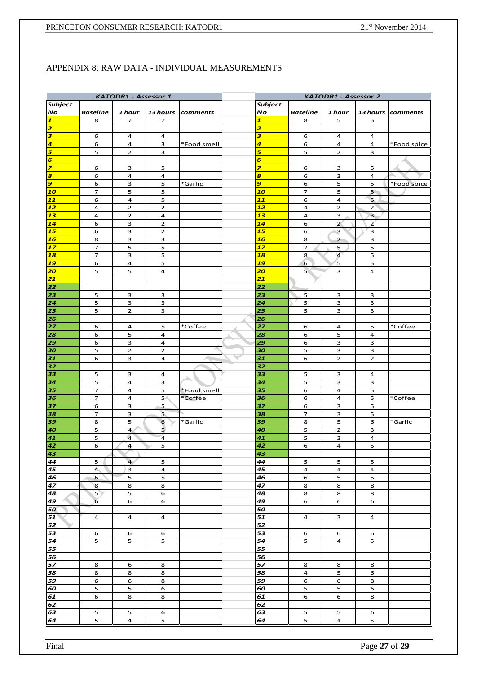# <span id="page-26-0"></span>APPENDIX 8: RAW DATA - INDIVIDUAL MEASUREMENTS

|                         |                          | <b>KATODR1 - Assessor 1</b> |                |                   | <b>KATODR1 - Assessor 2</b> |                         |                |                         |                   |  |
|-------------------------|--------------------------|-----------------------------|----------------|-------------------|-----------------------------|-------------------------|----------------|-------------------------|-------------------|--|
| <b>Subject</b>          |                          |                             |                |                   | <b>Subject</b>              |                         |                |                         |                   |  |
| No                      | <b>Baseline</b>          | 1 hour                      |                | 13 hours comments | No                          | <b>Baseline</b>         | 1 hour         |                         | 13 hours comments |  |
| $\mathbf{1}$            | 8                        | 7                           | 7              |                   | $\mathbf{1}$                | 8                       | 5              | 5                       |                   |  |
| $\overline{\mathbf{z}}$ |                          |                             |                |                   | $\overline{z}$              |                         |                |                         |                   |  |
|                         |                          |                             |                |                   |                             |                         |                |                         |                   |  |
| з                       | 6                        | 4                           | 4              |                   | 3                           | 6                       | 4              | 4                       |                   |  |
| 4                       | 6                        | 4                           | 3              | *Food smell       | 4                           | 6                       | 4              | 4                       | *Food spice       |  |
| 5                       | 5                        | $\overline{2}$              | 3              |                   | 5                           | 5                       | $\overline{2}$ | 3                       |                   |  |
| 6                       |                          |                             |                |                   | 6                           |                         |                |                         |                   |  |
| 7                       | 6                        | 3                           | 5              |                   | 7                           | 6                       | 3              | 5                       |                   |  |
| 8                       | 6                        | 4                           | 4              |                   | 8                           | 6                       | 3              | 4                       |                   |  |
| 9                       | 6                        | з                           | 5              | *Garlic           | 9                           | 6                       | 5              | 5                       | *Food spice       |  |
|                         | $\overline{7}$           | 5                           | 5              |                   | 10                          | $\overline{7}$          | 5              |                         |                   |  |
| 10                      |                          |                             |                |                   |                             |                         |                | 5                       |                   |  |
| 11                      | 6                        | 4                           | 5              |                   | 11                          | 6                       | 4              | 5                       |                   |  |
| <u> 12</u>              | 4                        | $\overline{2}$              | 2              |                   | 12                          | 4                       | $\overline{2}$ | 2                       |                   |  |
| 13                      | 4                        | $\overline{2}$              | 4              |                   | 13                          | $\overline{a}$          | 3              | 3                       |                   |  |
| 14                      | 6                        | 3                           | $\overline{2}$ |                   | 14                          | 6                       | $\overline{2}$ | $\overline{2}$          |                   |  |
| 15                      | 6                        | 3                           | $\overline{2}$ |                   | 15                          | 6                       | 3              | 3                       |                   |  |
| 16                      | 8                        | $\ensuremath{\mathsf{3}}$   | 3              |                   | 16                          | 8                       | $2^{-}$        | 3                       |                   |  |
| 17                      | $\overline{\phantom{a}}$ | 5                           | 5              |                   | 17                          | $\overline{7}$          | 5              | ${\mathbf 5}$           |                   |  |
| 18                      | $\overline{z}$           | 3                           | 5              |                   | 18                          | 8                       | $\mathbf{4}$   | 5                       |                   |  |
|                         |                          |                             |                |                   | 19                          |                         |                |                         |                   |  |
| 19                      | 6                        | 4                           | 5              |                   |                             | 6                       | 5              | 5                       |                   |  |
| 20                      | 5                        | ${\mathsf 5}$               | 4              |                   | 20                          | 5.                      | з              | 4                       |                   |  |
| 21                      |                          |                             |                |                   | 21                          |                         |                |                         |                   |  |
| 22                      |                          |                             |                |                   | 22                          |                         |                |                         |                   |  |
| 23                      | 5                        | 3                           | 3              |                   | 23                          | 5                       | 3              | 3                       |                   |  |
| 24                      | 5                        | 3                           | 3              |                   | 24                          | 5                       | 3              | 3                       |                   |  |
| 25                      | ${\mathsf 5}$            | $\overline{2}$              | 3              |                   | 25                          | $\overline{\mathbf{5}}$ | 3              | 3                       |                   |  |
| 26                      |                          |                             |                |                   | 26                          |                         |                |                         |                   |  |
| 27                      | 6                        | 4                           | 5              | $*$ Coffee        | 27                          | 6                       |                | 5                       |                   |  |
|                         |                          |                             |                |                   |                             |                         | 4              |                         | *Coffee           |  |
| 28                      | 6                        | 5                           | 4              |                   | 28                          | 6                       | 5              | 4                       |                   |  |
| 29                      | 6                        | 3                           | 4              |                   | 29                          | 6                       | 3              | 3                       |                   |  |
| 30                      | 5                        | $\overline{2}$              | 2              |                   | 30                          | 5                       | 3              | 3                       |                   |  |
| 31                      | 6                        | 3                           | 4              |                   | 31                          | 6                       | $\overline{2}$ | $\overline{2}$          |                   |  |
| 32                      |                          |                             |                |                   | 32                          |                         |                |                         |                   |  |
| 33                      | 5                        | 3                           | 4              |                   | 33                          | 5                       | з              | 4                       |                   |  |
| 34                      | 5                        | 4                           | 3              |                   | 34                          | 5                       | 3              | 3                       |                   |  |
| 35                      | 7                        | 4                           | 5              | *Food smell       | 35                          | 6                       | 4              | 5                       |                   |  |
| 36                      | $\overline{z}$           | $\overline{a}$              | 5<             | *Coffee           | 36                          |                         | $\overline{a}$ |                         |                   |  |
|                         |                          |                             |                |                   |                             | 6                       |                | 5                       | *Coffee           |  |
| 37                      | 6                        | 3                           | 5              |                   | 37                          | 6                       | 3              | 5                       |                   |  |
| 38                      | $\overline{\phantom{a}}$ | 3                           | 5              |                   | 38                          | $\overline{z}$          | 3              | 5                       |                   |  |
| 39                      | 8                        | 5                           | 6              | *Garlic           | 39                          | 8                       | ${\mathsf 5}$  | 6                       | *Garlic           |  |
| 40                      | 5                        | 4                           | 5              |                   | 40                          | 5                       | $\overline{2}$ | з                       |                   |  |
| 41                      | 5                        | $\overline{4}$              | 4              |                   | 41                          | 5                       | 3              | 4                       |                   |  |
| 42                      | 6                        | 4                           | 5              |                   | 42                          | 6                       | $\overline{4}$ | 5                       |                   |  |
| 43                      |                          |                             |                |                   | 43                          |                         |                |                         |                   |  |
| 44                      | 5                        | $\overline{a}$              | 5              |                   | 44                          | 5                       | 5              | 5                       |                   |  |
| 45                      | $\overline{\bf{4}}$      | 3                           | $\overline{4}$ |                   | 45                          | $\overline{a}$          | $\overline{4}$ | $\overline{\mathbf{4}}$ |                   |  |
|                         |                          |                             |                |                   |                             |                         |                |                         |                   |  |
| 46                      | 6                        | $\sf S$                     | 5              |                   | 46                          | 6                       | 5              | 5                       |                   |  |
| 47                      | $\bf{8}$                 | 8                           | 8              |                   | $\overline{47}$             | 8                       | 8              | 8                       |                   |  |
| 48                      | $\overline{5}$           | $\sf S$                     | 6              |                   | 48                          | 8                       | 8              | 8                       |                   |  |
| 49                      | 6                        | 6                           | 6              |                   | 49                          | 6                       | 6              | 6                       |                   |  |
| 50                      |                          |                             |                |                   | 50                          |                         |                |                         |                   |  |
| 51                      | 4                        | 4                           | 4              |                   | 51                          | $\overline{4}$          | 3              | $\overline{\mathbf{4}}$ |                   |  |
| 52                      |                          |                             |                |                   | 52                          |                         |                |                         |                   |  |
| 53                      | 6                        | 6                           | 6              |                   | 53                          | 6                       | 6              | 6                       |                   |  |
| $\overline{54}$         | 5                        | 5                           | 5              |                   | 54                          | 5                       | $\overline{4}$ | 5                       |                   |  |
|                         |                          |                             |                |                   | 55                          |                         |                |                         |                   |  |
| 55                      |                          |                             |                |                   |                             |                         |                |                         |                   |  |
| 56                      |                          |                             |                |                   | $\overline{56}$             |                         |                |                         |                   |  |
| 57                      | 8                        | 6                           | 8              |                   | 57                          | 8                       | 8              | 8                       |                   |  |
| 58                      | 8                        | 8                           | 8              |                   | 58                          | $\boldsymbol{4}$        | ${\mathbf 5}$  | 6                       |                   |  |
| 59                      | $\overline{6}$           | 6                           | 8              |                   | 59                          | 6                       | 6              | $\bf8$                  |                   |  |
| 60                      | 5                        | 5                           | 6              |                   | 60                          | 5                       | 5              | 6                       |                   |  |
| 61                      | 6                        | 8                           | 8              |                   | 61                          | 6                       | 6              | 8                       |                   |  |
| 62                      |                          |                             |                |                   | 62                          |                         |                |                         |                   |  |
| 63                      | 5                        | ${\mathsf 5}$               | 6              |                   | 63                          | 5                       | ${\mathbf 5}$  | 6                       |                   |  |
|                         |                          |                             |                |                   |                             |                         |                |                         |                   |  |
| 64                      | 5                        | $\overline{4}$              | 5              |                   | 64                          | 5                       | $\overline{4}$ | 5                       |                   |  |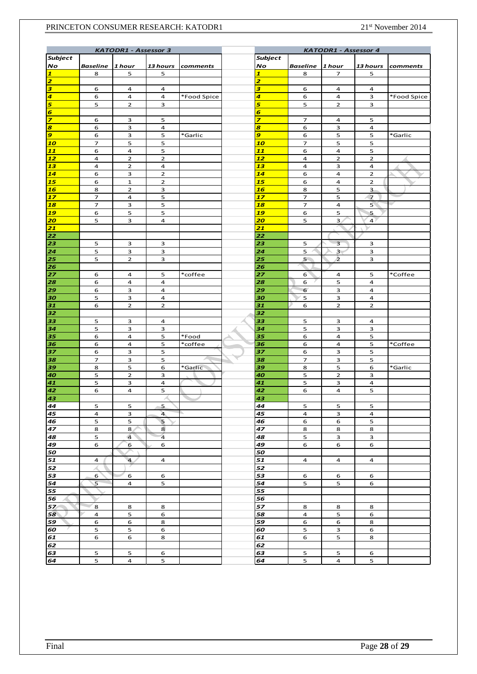# PRINCETON CONSUMER RESEARCH: KATODR1 21st November 2014

<span id="page-27-0"></span>

|                         | <b>KATODR1 - Assessor 3</b> |                         |                         |             |  | <b>KATODR1 - Assessor 4</b> |                         |                         |                         |                            |  |
|-------------------------|-----------------------------|-------------------------|-------------------------|-------------|--|-----------------------------|-------------------------|-------------------------|-------------------------|----------------------------|--|
| <b>Subject</b>          |                             |                         |                         |             |  | Subject                     |                         |                         |                         |                            |  |
| No                      | Baseline 1 hour             |                         | 13 hours                | comments    |  | No                          | Baseline 1 hour         |                         | 13 hours                | comments                   |  |
| $\overline{\mathbf{1}}$ | 8                           | 5                       | 5                       |             |  | $\overline{\mathbf{1}}$     | 8                       | $\overline{7}$          | 5                       |                            |  |
| $\overline{2}$          |                             |                         |                         |             |  | 2                           |                         |                         |                         |                            |  |
| $\overline{\mathbf{3}}$ |                             |                         |                         |             |  | 3                           |                         |                         |                         |                            |  |
|                         | 6                           | 4                       | 4                       |             |  |                             | 6                       | 4                       | 4                       |                            |  |
| 4                       | 6                           | 4                       | 4                       | *Food Spice |  | 4                           | 6                       | 4                       | 3                       | *Food Spice                |  |
| 5                       | 5                           | $\overline{2}$          | 3                       |             |  | 5                           | 5                       | $\overline{2}$          | з                       |                            |  |
| 6                       |                             |                         |                         |             |  | 6                           |                         |                         |                         |                            |  |
| $\overline{\mathbf{z}}$ | 6                           | з                       | 5                       |             |  | Z                           | $\overline{7}$          | 4                       | 5                       |                            |  |
| $\boldsymbol{s}$        | 6                           | 3                       | $\overline{\mathbf{4}}$ |             |  | 8                           | 6                       | 3                       | 4                       |                            |  |
| 9                       | 6                           | 3                       | 5                       | *Garlic     |  | 9                           | 6                       | 5                       | 5                       | *Garlic                    |  |
|                         | $\overline{7}$              | 5                       | 5                       |             |  | 10                          | $\overline{7}$          | 5                       | 5                       |                            |  |
| 10                      |                             |                         |                         |             |  |                             |                         |                         |                         |                            |  |
| 11                      | 6                           | 4                       | ${\mathbf 5}$           |             |  | 11                          | 6                       | 4                       | 5                       |                            |  |
| 12                      | 4                           | $\mathbf 2$             | $\overline{2}$          |             |  | 12                          | 4                       | $\overline{\mathbf{c}}$ | 2                       |                            |  |
| 13                      | $\overline{\mathbf{4}}$     | $\overline{2}$          | 4                       |             |  | 13                          | 4                       | з                       | 4                       |                            |  |
| 14                      | 6                           | 3                       | $\overline{2}$          |             |  | 14                          | 6                       | 4                       | $\overline{2}$          |                            |  |
| 15                      | 6                           | $\mathbf{1}$            | $\overline{2}$          |             |  | 15                          | 6                       | 4                       | 2                       |                            |  |
| 16                      | 8                           | $\overline{2}$          | 3                       |             |  | 16                          | 8                       | 5                       | $\mathbf{3}$            |                            |  |
| 17                      | $\overline{\mathbf{z}}$     | 4                       | ${\mathbf 5}$           |             |  | 17                          | $\overline{7}$          | 5                       | $\overline{z}$          |                            |  |
| 18                      | $\overline{z}$              | 3                       | 5                       |             |  | 18                          | $\overline{\mathbf{z}}$ | 4                       | 5                       |                            |  |
|                         |                             |                         |                         |             |  |                             |                         |                         |                         |                            |  |
| 19                      | 6                           | 5                       | 5                       |             |  | 19                          | 6                       | 5                       | 5                       |                            |  |
| <b>20</b>               | ${\mathbf 5}$               | 3                       | 4                       |             |  | 20                          | ${\mathbf 5}$           | 3                       | $\overline{4}$          |                            |  |
| 21                      |                             |                         |                         |             |  | 21                          |                         |                         |                         |                            |  |
| 22                      |                             |                         |                         |             |  | 22                          |                         |                         |                         |                            |  |
| 23                      | 5                           | 3                       | 3                       |             |  | 23                          | 5                       | 3                       | з                       |                            |  |
| 24                      | ${\mathbf 5}$               | 3                       | 3                       |             |  | 24                          | 5                       | $\mathbf{3}$            | 3                       |                            |  |
| 25                      | 5                           | $\overline{2}$          | 3                       |             |  | 25                          | 5                       | $\overline{\mathbf{2}}$ | з                       |                            |  |
| 26                      |                             |                         |                         |             |  | 26                          |                         |                         |                         |                            |  |
|                         |                             |                         |                         |             |  |                             |                         |                         |                         |                            |  |
| 27                      | 6                           | 4                       | 5                       | *coffee     |  | 27                          | 6                       | 4                       | 5                       | *Coffee                    |  |
| 28                      | 6                           | 4                       | 4                       |             |  | 28                          | 6                       | 5                       | 4                       |                            |  |
| 29                      | $\,$ 6 $\,$                 | 3                       | 4                       |             |  | 29                          | 6                       | 3                       | 4                       |                            |  |
| 30                      | 5                           | $\overline{\mathbf{3}}$ | 4                       |             |  | 30                          | 5                       | 3                       | 4                       |                            |  |
| 31                      | 6                           | $\overline{2}$          | $\overline{2}$          |             |  | 31                          | 6                       | $\overline{2}$          | $\overline{\mathbf{c}}$ |                            |  |
| 32                      |                             |                         |                         |             |  | 32                          |                         |                         |                         |                            |  |
| 33                      | 5                           | 3                       | 4                       |             |  | 33                          | 5                       | з                       | 4                       |                            |  |
|                         |                             |                         |                         |             |  |                             |                         |                         |                         |                            |  |
| 34                      | 5                           | 3                       | 3                       |             |  | 34                          | 5                       | з                       | з                       |                            |  |
| 35                      | 6                           | 4                       | 5                       | *Food       |  | 35                          | 6                       | 4                       | 5                       |                            |  |
| 36                      | 6                           | 4                       | ${\mathbf 5}$           | *coffee     |  | 36                          | 6                       | 4                       | 5                       | $\displaystyle{^*}$ Coffee |  |
| 37                      | 6                           | 3                       | 5                       |             |  | 37                          | 6                       | 3                       | 5                       |                            |  |
| 38                      | $\overline{z}$              | 3                       | ${\mathsf S}$           |             |  | 38                          | $\overline{\mathbf{z}}$ | з                       | 5                       |                            |  |
| 39                      | 8                           | 5                       | 6                       | *Garlic     |  | 39                          | 8                       | 5                       | 6                       | *Garlic                    |  |
| 40                      | 5                           | $\mathbf 2$             | 3                       |             |  | 40                          | ${\mathbf 5}$           | $\mathbf 2$             | 3                       |                            |  |
| 41                      | 5                           | 3                       | 4                       |             |  | 41                          | 5                       | з                       | 4                       |                            |  |
| 42                      | 6                           | 4                       | 5                       |             |  | 42                          | 6                       | 4                       | 5                       |                            |  |
|                         |                             |                         |                         |             |  |                             |                         |                         |                         |                            |  |
| 43                      |                             |                         |                         |             |  | 43                          |                         |                         |                         |                            |  |
| 44                      | 5                           | 5                       | 5 <sub>1</sub>          |             |  | 44                          | 5                       | 5 <sub>1</sub>          | $\overline{\mathbf{5}}$ |                            |  |
| 45                      | $\overline{\mathbf{r}}$     | 3                       | $\overline{4}$          |             |  | 45                          | 4                       | 3                       | $\overline{\mathbf{4}}$ |                            |  |
| 46                      | 5                           | 5                       | 5                       |             |  | 46                          | 6                       | 6                       | 5                       |                            |  |
| 47                      | $\bf 8$                     | 8                       | 8                       |             |  | 47                          | 8                       | 8                       | 8                       |                            |  |
| 48                      | ${\mathsf S}$               | $\overline{a}$          | $\overline{a}$          |             |  | 48                          | 5                       | 3                       | $\overline{\mathbf{3}}$ |                            |  |
| 49                      | 6                           | 6                       | 6                       |             |  | 49                          | 6                       | 6                       | 6                       |                            |  |
| 50                      |                             |                         |                         |             |  | 50                          |                         |                         |                         |                            |  |
|                         | $\overline{a}$              | $\overline{4}$          | $\overline{4}$          |             |  | 51                          | $\overline{\mathbf{4}}$ | $\overline{4}$          | 4                       |                            |  |
| 51                      |                             |                         |                         |             |  |                             |                         |                         |                         |                            |  |
| 52                      |                             |                         |                         |             |  | 52                          |                         |                         |                         |                            |  |
| 53                      | 6                           | 6                       | 6                       |             |  | 53                          | 6                       | 6                       | 6                       |                            |  |
| 54                      | 5                           | 4                       | 5                       |             |  | $\overline{54}$             | 5                       | 5                       | 6                       |                            |  |
| 55                      |                             |                         |                         |             |  | 55                          |                         |                         |                         |                            |  |
| 56                      |                             |                         |                         |             |  | 56                          |                         |                         |                         |                            |  |
| 57                      | 8                           | 8                       | 8                       |             |  | 57                          | 8                       | 8                       | 8                       |                            |  |
| 58                      | $\overline{\mathbf{r}}$     | 5                       | 6                       |             |  | 58                          | 4                       | 5                       | 6                       |                            |  |
|                         |                             |                         |                         |             |  |                             |                         |                         |                         |                            |  |
| 59                      | 6                           | 6                       | 8                       |             |  | 59                          | 6                       | 6                       | 8                       |                            |  |
| 60                      | 5                           | 5                       | 6                       |             |  | 60                          | 5                       | $\mathsf 3$             | 6                       |                            |  |
| 61                      | 6                           | 6                       | 8                       |             |  | 61                          | 6                       | 5                       | 8                       |                            |  |
| 62                      |                             |                         |                         |             |  | 62                          |                         |                         |                         |                            |  |
| 63                      | 5                           | 5                       | 6                       |             |  | 63                          | 5                       | 5                       | 6                       |                            |  |
| 64                      | 5                           | 4                       | 5                       |             |  | 64                          | 5                       | 4                       | $\overline{\mathbf{5}}$ |                            |  |